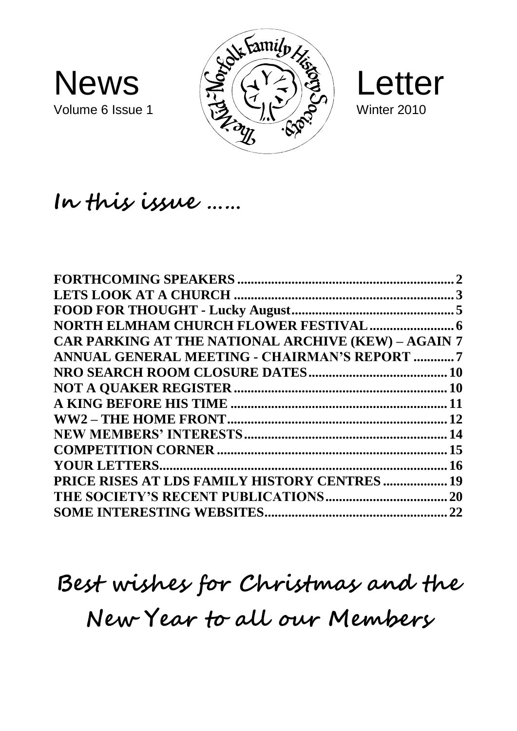





### **In this issue ……**

|                                                            | $\mathcal{D}_{\mathcal{L}}$ |
|------------------------------------------------------------|-----------------------------|
|                                                            |                             |
|                                                            |                             |
|                                                            |                             |
| <b>CAR PARKING AT THE NATIONAL ARCHIVE (KEW) - AGAIN 7</b> |                             |
| ANNUAL GENERAL MEETING - CHAIRMAN'S REPORT 7               |                             |
|                                                            |                             |
|                                                            |                             |
|                                                            |                             |
|                                                            |                             |
|                                                            |                             |
|                                                            |                             |
|                                                            |                             |
| <b>PRICE RISES AT LDS FAMILY HISTORY CENTRES  19</b>       |                             |
|                                                            |                             |
|                                                            |                             |

# **Best wishes for Christmas and the New Year to all our Members**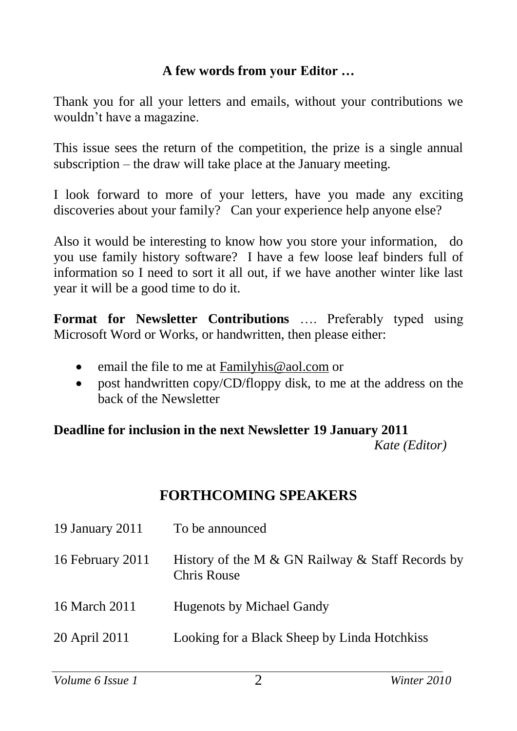#### **A few words from your Editor …**

Thank you for all your letters and emails, without your contributions we wouldn't have a magazine.

This issue sees the return of the competition, the prize is a single annual subscription – the draw will take place at the January meeting.

I look forward to more of your letters, have you made any exciting discoveries about your family? Can your experience help anyone else?

Also it would be interesting to know how you store your information, do you use family history software? I have a few loose leaf binders full of information so I need to sort it all out, if we have another winter like last year it will be a good time to do it.

**Format for Newsletter Contributions** …. Preferably typed using Microsoft Word or Works, or handwritten, then please either:

- email the file to me at [Familyhis@aol.com](mailto:Familyhis@aol.com) or
- post handwritten copy/CD/floppy disk, to me at the address on the back of the Newsletter

#### **Deadline for inclusion in the next Newsletter 19 January 2011**  *Kate (Editor)*

#### **FORTHCOMING SPEAKERS**

| 19 January 2011  | To be announced                                                 |
|------------------|-----------------------------------------------------------------|
| 16 February 2011 | History of the M & GN Railway & Staff Records by<br>Chris Rouse |
| 16 March 2011    | Hugenots by Michael Gandy                                       |
| 20 April 2011    | Looking for a Black Sheep by Linda Hotchkiss                    |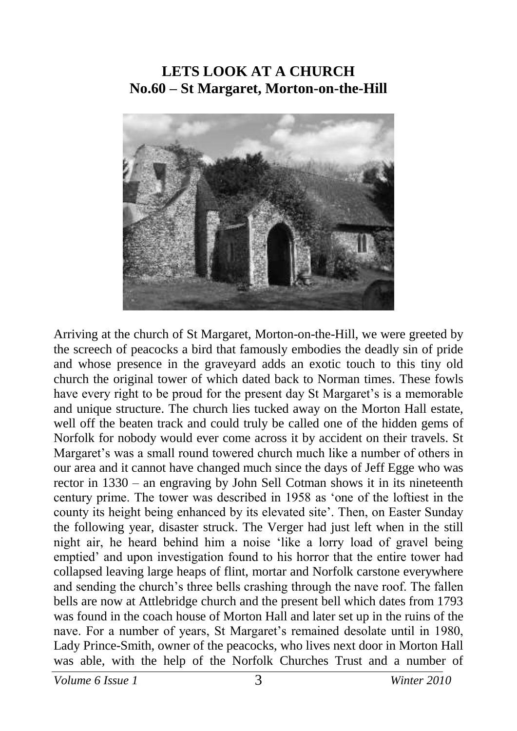#### **LETS LOOK AT A CHURCH No.60 – St Margaret, Morton-on-the-Hill**



Arriving at the church of St Margaret, Morton-on-the-Hill, we were greeted by the screech of peacocks a bird that famously embodies the deadly sin of pride and whose presence in the graveyard adds an exotic touch to this tiny old church the original tower of which dated back to Norman times. These fowls have every right to be proud for the present day St Margaret's is a memorable and unique structure. The church lies tucked away on the Morton Hall estate, well off the beaten track and could truly be called one of the hidden gems of Norfolk for nobody would ever come across it by accident on their travels. St Margaret's was a small round towered church much like a number of others in our area and it cannot have changed much since the days of Jeff Egge who was rector in 1330 – an engraving by John Sell Cotman shows it in its nineteenth century prime. The tower was described in 1958 as 'one of the loftiest in the county its height being enhanced by its elevated site'. Then, on Easter Sunday the following year, disaster struck. The Verger had just left when in the still night air, he heard behind him a noise 'like a lorry load of gravel being emptied' and upon investigation found to his horror that the entire tower had collapsed leaving large heaps of flint, mortar and Norfolk carstone everywhere and sending the church's three bells crashing through the nave roof. The fallen bells are now at Attlebridge church and the present bell which dates from 1793 was found in the coach house of Morton Hall and later set up in the ruins of the nave. For a number of years, St Margaret's remained desolate until in 1980, Lady Prince-Smith, owner of the peacocks, who lives next door in Morton Hall was able, with the help of the Norfolk Churches Trust and a number of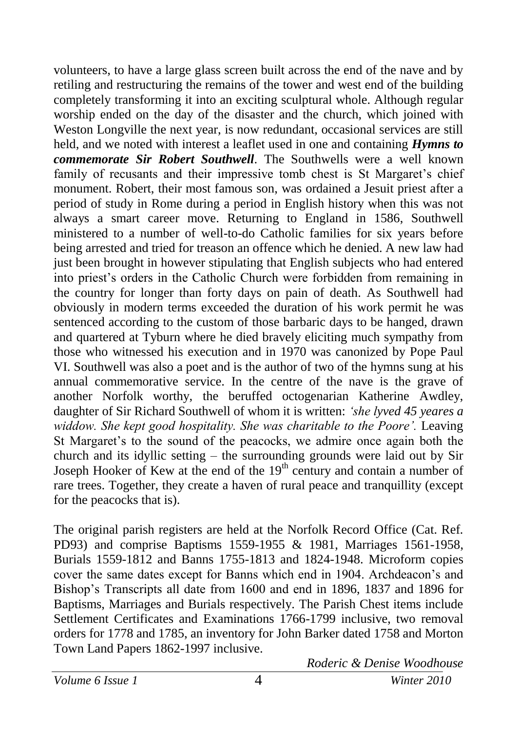volunteers, to have a large glass screen built across the end of the nave and by retiling and restructuring the remains of the tower and west end of the building completely transforming it into an exciting sculptural whole. Although regular worship ended on the day of the disaster and the church, which joined with Weston Longville the next year, is now redundant, occasional services are still held, and we noted with interest a leaflet used in one and containing *Hymns to commemorate Sir Robert Southwell*. The Southwells were a well known family of recusants and their impressive tomb chest is St Margaret's chief monument. Robert, their most famous son, was ordained a Jesuit priest after a period of study in Rome during a period in English history when this was not always a smart career move. Returning to England in 1586, Southwell ministered to a number of well-to-do Catholic families for six years before being arrested and tried for treason an offence which he denied. A new law had just been brought in however stipulating that English subjects who had entered into priest's orders in the Catholic Church were forbidden from remaining in the country for longer than forty days on pain of death. As Southwell had obviously in modern terms exceeded the duration of his work permit he was sentenced according to the custom of those barbaric days to be hanged, drawn and quartered at Tyburn where he died bravely eliciting much sympathy from those who witnessed his execution and in 1970 was canonized by Pope Paul VI. Southwell was also a poet and is the author of two of the hymns sung at his annual commemorative service. In the centre of the nave is the grave of another Norfolk worthy, the beruffed octogenarian Katherine Awdley, daughter of Sir Richard Southwell of whom it is written: *'she lyved 45 yeares a widdow. She kept good hospitality. She was charitable to the Poore'.* Leaving St Margaret's to the sound of the peacocks, we admire once again both the church and its idyllic setting – the surrounding grounds were laid out by Sir Joseph Hooker of Kew at the end of the  $19<sup>th</sup>$  century and contain a number of rare trees. Together, they create a haven of rural peace and tranquillity (except for the peacocks that is).

The original parish registers are held at the Norfolk Record Office (Cat. Ref. PD93) and comprise Baptisms 1559-1955 & 1981, Marriages 1561-1958, Burials 1559-1812 and Banns 1755-1813 and 1824-1948. Microform copies cover the same dates except for Banns which end in 1904. Archdeacon's and Bishop's Transcripts all date from 1600 and end in 1896, 1837 and 1896 for Baptisms, Marriages and Burials respectively. The Parish Chest items include Settlement Certificates and Examinations 1766-1799 inclusive, two removal orders for 1778 and 1785, an inventory for John Barker dated 1758 and Morton Town Land Papers 1862-1997 inclusive.

*Roderic & Denise Woodhouse*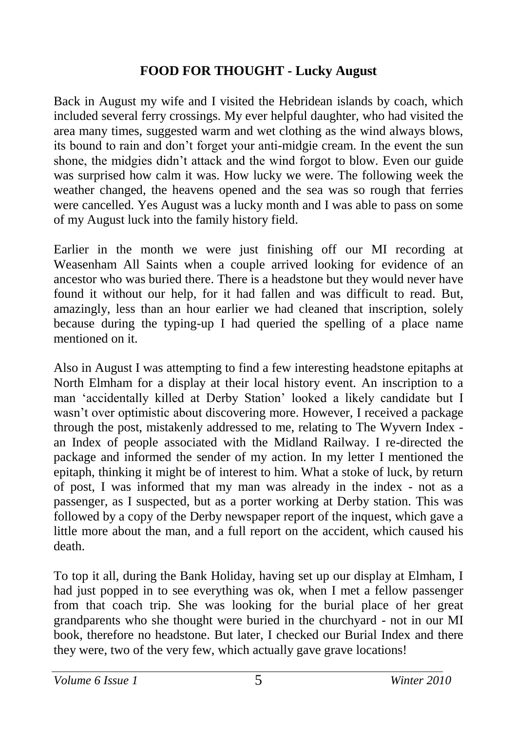#### **FOOD FOR THOUGHT - Lucky August**

Back in August my wife and I visited the Hebridean islands by coach, which included several ferry crossings. My ever helpful daughter, who had visited the area many times, suggested warm and wet clothing as the wind always blows, its bound to rain and don't forget your anti-midgie cream. In the event the sun shone, the midgies didn't attack and the wind forgot to blow. Even our guide was surprised how calm it was. How lucky we were. The following week the weather changed, the heavens opened and the sea was so rough that ferries were cancelled. Yes August was a lucky month and I was able to pass on some of my August luck into the family history field.

Earlier in the month we were just finishing off our MI recording at Weasenham All Saints when a couple arrived looking for evidence of an ancestor who was buried there. There is a headstone but they would never have found it without our help, for it had fallen and was difficult to read. But, amazingly, less than an hour earlier we had cleaned that inscription, solely because during the typing-up I had queried the spelling of a place name mentioned on it.

Also in August I was attempting to find a few interesting headstone epitaphs at North Elmham for a display at their local history event. An inscription to a man 'accidentally killed at Derby Station' looked a likely candidate but I wasn't over optimistic about discovering more. However, I received a package through the post, mistakenly addressed to me, relating to The Wyvern Index an Index of people associated with the Midland Railway. I re-directed the package and informed the sender of my action. In my letter I mentioned the epitaph, thinking it might be of interest to him. What a stoke of luck, by return of post, I was informed that my man was already in the index - not as a passenger, as I suspected, but as a porter working at Derby station. This was followed by a copy of the Derby newspaper report of the inquest, which gave a little more about the man, and a full report on the accident, which caused his death.

To top it all, during the Bank Holiday, having set up our display at Elmham, I had just popped in to see everything was ok, when I met a fellow passenger from that coach trip. She was looking for the burial place of her great grandparents who she thought were buried in the churchyard - not in our MI book, therefore no headstone. But later, I checked our Burial Index and there they were, two of the very few, which actually gave grave locations!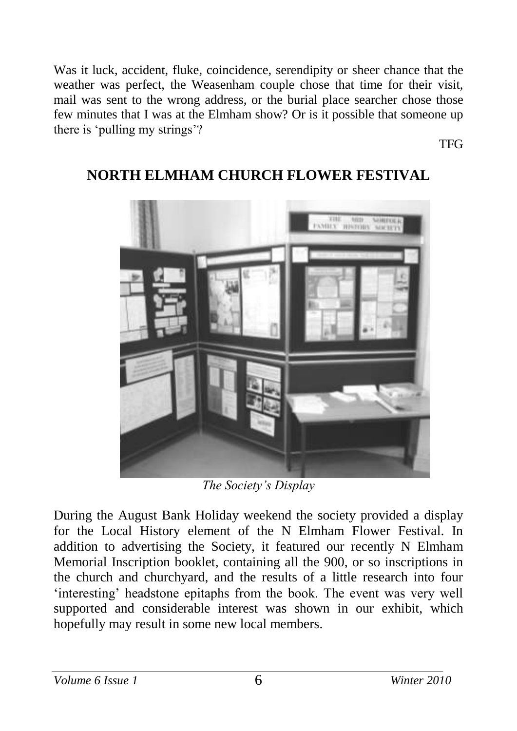Was it luck, accident, fluke, coincidence, serendipity or sheer chance that the weather was perfect, the Weasenham couple chose that time for their visit, mail was sent to the wrong address, or the burial place searcher chose those few minutes that I was at the Elmham show? Or is it possible that someone up there is 'pulling my strings'?

TFG



#### **NORTH ELMHAM CHURCH FLOWER FESTIVAL**

*The Society's Display* 

During the August Bank Holiday weekend the society provided a display for the Local History element of the N Elmham Flower Festival. In addition to advertising the Society, it featured our recently N Elmham Memorial Inscription booklet, containing all the 900, or so inscriptions in the church and churchyard, and the results of a little research into four 'interesting' headstone epitaphs from the book. The event was very well supported and considerable interest was shown in our exhibit, which hopefully may result in some new local members.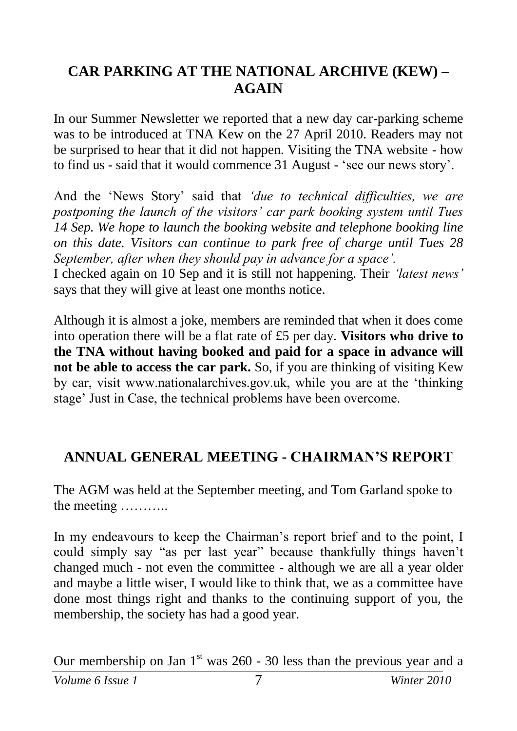#### **CAR PARKING AT THE NATIONAL ARCHIVE (KEW) – AGAIN**

In our Summer Newsletter we reported that a new day car-parking scheme was to be introduced at TNA Kew on the 27 April 2010. Readers may not be surprised to hear that it did not happen. Visiting the TNA website - how to find us - said that it would commence 31 August - 'see our news story'.

And the 'News Story' said that *'due to technical difficulties, we are postponing the launch of the visitors' car park booking system until Tues 14 Sep. We hope to launch the booking website and telephone booking line on this date. Visitors can continue to park free of charge until Tues 28 September, after when they should pay in advance for a space'.*

I checked again on 10 Sep and it is still not happening. Their *'latest news'* says that they will give at least one months notice.

Although it is almost a joke, members are reminded that when it does come into operation there will be a flat rate of £5 per day. **Visitors who drive to the TNA without having booked and paid for a space in advance will not be able to access the car park.** So, if you are thinking of visiting Kew by car, visit www.nationalarchives.gov.uk, while you are at the 'thinking stage' Just in Case, the technical problems have been overcome.

#### **ANNUAL GENERAL MEETING - CHAIRMAN'S REPORT**

The AGM was held at the September meeting, and Tom Garland spoke to the meeting ………..

In my endeavours to keep the Chairman's report brief and to the point, I could simply say "as per last year" because thankfully things haven't changed much - not even the committee - although we are all a year older and maybe a little wiser, I would like to think that, we as a committee have done most things right and thanks to the continuing support of you, the membership, the society has had a good year.

Our membership on Jan  $1<sup>st</sup>$  was 260 - 30 less than the previous year and a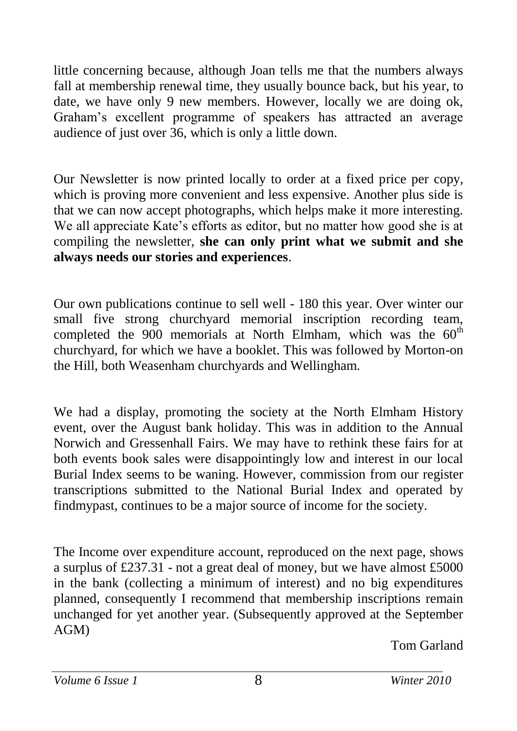little concerning because, although Joan tells me that the numbers always fall at membership renewal time, they usually bounce back, but his year, to date, we have only 9 new members. However, locally we are doing ok, Graham's excellent programme of speakers has attracted an average audience of just over 36, which is only a little down.

Our Newsletter is now printed locally to order at a fixed price per copy, which is proving more convenient and less expensive. Another plus side is that we can now accept photographs, which helps make it more interesting. We all appreciate Kate's efforts as editor, but no matter how good she is at compiling the newsletter, **she can only print what we submit and she always needs our stories and experiences**.

Our own publications continue to sell well - 180 this year. Over winter our small five strong churchyard memorial inscription recording team, completed the  $900$  memorials at North Elmham, which was the  $60<sup>th</sup>$ churchyard, for which we have a booklet. This was followed by Morton-on the Hill, both Weasenham churchyards and Wellingham.

We had a display, promoting the society at the North Elmham History event, over the August bank holiday. This was in addition to the Annual Norwich and Gressenhall Fairs. We may have to rethink these fairs for at both events book sales were disappointingly low and interest in our local Burial Index seems to be waning. However, commission from our register transcriptions submitted to the National Burial Index and operated by findmypast, continues to be a major source of income for the society.

The Income over expenditure account, reproduced on the next page, shows a surplus of £237.31 - not a great deal of money, but we have almost £5000 in the bank (collecting a minimum of interest) and no big expenditures planned, consequently I recommend that membership inscriptions remain unchanged for yet another year. (Subsequently approved at the September AGM)

Tom Garland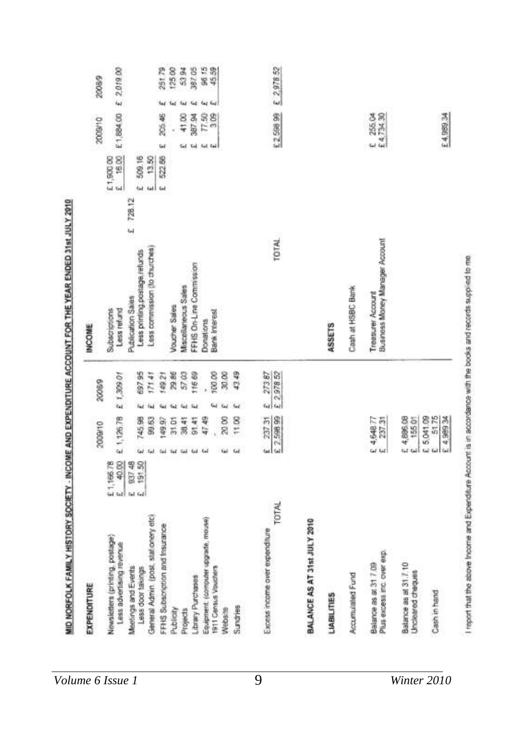| EXPENDITURE                                                 |                                 |          | 2009/10                           |    | 2008/9     | <b>INCOME</b>                                              |       |                     |       | 2009/10    |               |     | 200089     |
|-------------------------------------------------------------|---------------------------------|----------|-----------------------------------|----|------------|------------------------------------------------------------|-------|---------------------|-------|------------|---------------|-----|------------|
| Newsletters (printing, postage)<br>Less advertising revenue | E1,166.78<br>E 40.00            |          | £1,126.78                         |    | £ 1,309.01 | Subscriptions<br>Less refund                               |       | 0091 3<br>5 1900 00 | 16.00 | £1,884.00  |               |     | £ 201900   |
| Meelings and Events<br>Less door takings                    | 997.48<br>191.50<br>tal.<br>Gd. |          | 745.98                            | hè | 69795      | Less printing postage refunds<br>Publication Sales         | 28.12 | 508.16<br>i.        |       |            |               |     |            |
| General Admin (post, stationery etc)                        |                                 |          | 59.63                             |    | 171.41     | Less commission (to churches)                              |       | tal <sup>1</sup>    | 13.50 |            |               |     |            |
| FFHS Subscription and Insurance                             |                                 |          | 149.97                            |    | 149.21     |                                                            |       | 522.66<br><b>Gd</b> |       | Ы          | 205.45        | 41  | 251.79     |
| Publicity                                                   |                                 |          | 31.01                             |    | 29.86      | Voucher Sales                                              |       |                     |       |            |               | tai | 12500      |
| Projects                                                    |                                 | $\omega$ | 38.41                             |    | 57.03      | Miscollarieous Sales                                       |       |                     |       | <b>Gid</b> | 41.00         |     | 53.94      |
| Library Purchases                                           |                                 | ω        | 91.41                             |    | 116 69     | FFHS On-Line Commission                                    |       |                     |       | tid        | 387.94        |     | 387.05     |
| Equipment (computer upgrade, mouse)                         |                                 | $E_{dd}$ | 47.49                             |    |            | Donations                                                  |       |                     |       |            | 77.50<br>3 09 |     | 98.15      |
| 1911 Census Vouchers                                        |                                 |          |                                   |    | 100.00     | <b>Bank Interest</b>                                       |       |                     |       | fel fel    |               |     | 45.59      |
| Website                                                     |                                 |          | 20:00                             |    | 30,00      |                                                            |       |                     |       |            |               |     |            |
| Sundries                                                    |                                 | ω        | 11.00                             |    | 43.49      |                                                            |       |                     |       |            |               |     |            |
| Excess income over expenditure                              |                                 |          |                                   | i. | 27387      |                                                            |       |                     |       |            |               |     |            |
| TOTAL                                                       |                                 |          | 2 237 31                          |    | 2 2 978 52 | TOTAL                                                      |       |                     |       | £2,50899   |               |     | € 2,978.52 |
| BALANCE AS AT 31st JULY 2010                                |                                 |          |                                   |    |            |                                                            |       |                     |       |            |               |     |            |
| <b>LIABILITIES</b>                                          |                                 |          |                                   |    |            | ASSETS                                                     |       |                     |       |            |               |     |            |
| Accumulated Fund                                            |                                 |          |                                   |    |            | Cash at HSBC Bank                                          |       |                     |       |            |               |     |            |
| Plus excess inc. over exp.<br>Balance as at 31 7 09         |                                 |          | £4,64877<br>E 237.31              |    |            | <b>Business Money Manager Account</b><br>Treesurer Account |       |                     |       | E 255.04   |               |     |            |
| Balance as at 31.7.10<br>Uncleared cheques                  |                                 | ш        | £ 4,896.08<br>15501               |    |            |                                                            |       |                     |       |            |               |     |            |
| Cash in hand                                                |                                 | $\omega$ | 5175<br>£ 5,041.09<br>FC 686 \$ 3 |    |            |                                                            |       |                     |       | £4,989.34  |               |     |            |
|                                                             |                                 |          |                                   |    |            |                                                            |       |                     |       |            |               |     |            |

I report that the above theorie and Expenditure Account is in accordance with the books aind records supplied to mo.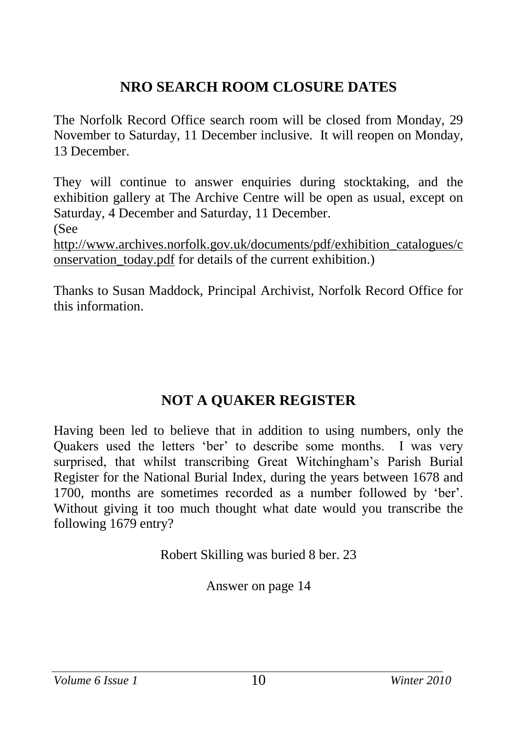### **NRO SEARCH ROOM CLOSURE DATES**

The Norfolk Record Office search room will be closed from Monday, 29 November to Saturday, 11 December inclusive. It will reopen on Monday, 13 December.

They will continue to answer enquiries during stocktaking, and the exhibition gallery at The Archive Centre will be open as usual, except on Saturday, 4 December and Saturday, 11 December. (See [http://www.archives.norfolk.gov.uk/documents/pdf/exhibition\\_catalogues/c](http://www.archives.norfolk.gov.uk/documents/pdf/exhibition_catalogues/conservation_today.pdf)

onservation today.pdf for details of the current exhibition.)

Thanks to Susan Maddock, Principal Archivist, Norfolk Record Office for this information.

#### **NOT A QUAKER REGISTER**

Having been led to believe that in addition to using numbers, only the Quakers used the letters 'ber' to describe some months. I was very surprised, that whilst transcribing Great Witchingham's Parish Burial Register for the National Burial Index, during the years between 1678 and 1700, months are sometimes recorded as a number followed by 'ber'. Without giving it too much thought what date would you transcribe the following 1679 entry?

Robert Skilling was buried 8 ber. 23

Answer on page 14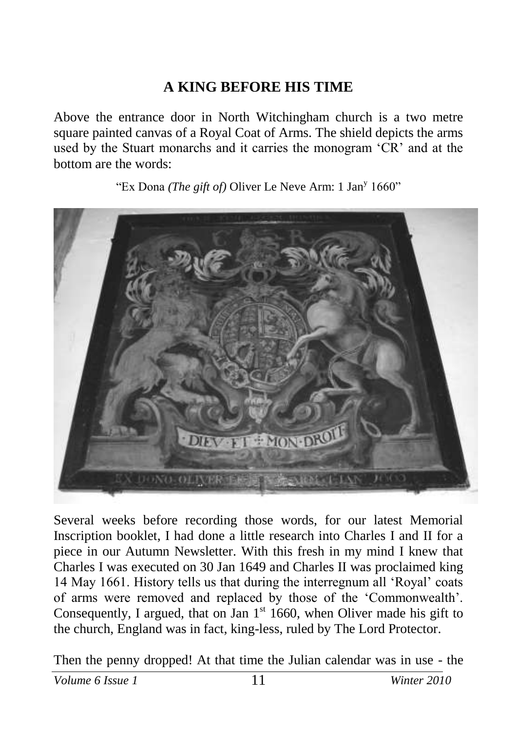#### **A KING BEFORE HIS TIME**

Above the entrance door in North Witchingham church is a two metre square painted canvas of a Royal Coat of Arms. The shield depicts the arms used by the Stuart monarchs and it carries the monogram 'CR' and at the bottom are the words:

"Ex Dona *(The gift of)* Oliver Le Neve Arm: 1 Jan<sup>y</sup> 1660"



Several weeks before recording those words, for our latest Memorial Inscription booklet, I had done a little research into Charles I and II for a piece in our Autumn Newsletter. With this fresh in my mind I knew that Charles I was executed on 30 Jan 1649 and Charles II was proclaimed king 14 May 1661. History tells us that during the interregnum all 'Royal' coats of arms were removed and replaced by those of the 'Commonwealth'. Consequently, I argued, that on Jan  $1<sup>st</sup> 1660$ , when Oliver made his gift to the church, England was in fact, king-less, ruled by The Lord Protector.

Then the penny dropped! At that time the Julian calendar was in use - the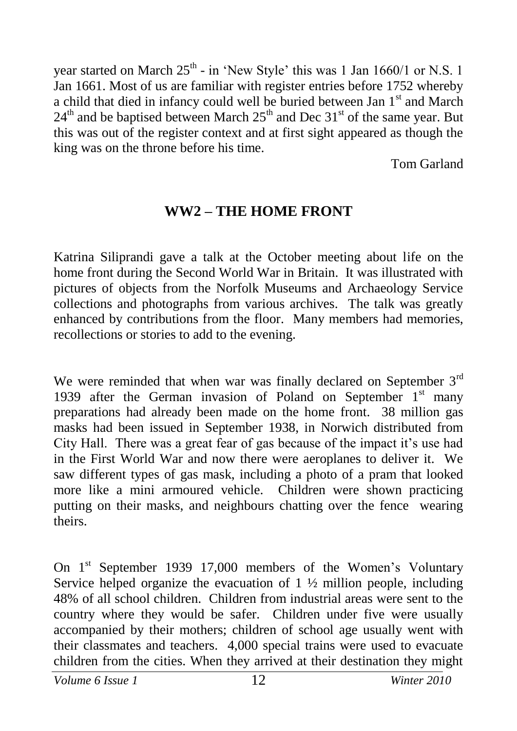year started on March  $25^{th}$  - in 'New Style' this was 1 Jan 1660/1 or N.S. 1 Jan 1661. Most of us are familiar with register entries before 1752 whereby a child that died in infancy could well be buried between Jan 1<sup>st</sup> and March  $24<sup>th</sup>$  and be baptised between March  $25<sup>th</sup>$  and Dec  $31<sup>st</sup>$  of the same year. But this was out of the register context and at first sight appeared as though the king was on the throne before his time.

Tom Garland

#### **WW2 – THE HOME FRONT**

Katrina Siliprandi gave a talk at the October meeting about life on the home front during the Second World War in Britain. It was illustrated with pictures of objects from the Norfolk Museums and Archaeology Service collections and photographs from various archives. The talk was greatly enhanced by contributions from the floor. Many members had memories, recollections or stories to add to the evening.

We were reminded that when war was finally declared on September  $3<sup>rd</sup>$ 1939 after the German invasion of Poland on September  $1<sup>st</sup>$  many preparations had already been made on the home front. 38 million gas masks had been issued in September 1938, in Norwich distributed from City Hall. There was a great fear of gas because of the impact it's use had in the First World War and now there were aeroplanes to deliver it. We saw different types of gas mask, including a photo of a pram that looked more like a mini armoured vehicle. Children were shown practicing putting on their masks, and neighbours chatting over the fence wearing theirs.

On 1<sup>st</sup> September 1939 17,000 members of the Women's Voluntary Service helped organize the evacuation of  $1 \frac{1}{2}$  million people, including 48% of all school children. Children from industrial areas were sent to the country where they would be safer. Children under five were usually accompanied by their mothers; children of school age usually went with their classmates and teachers. 4,000 special trains were used to evacuate children from the cities. When they arrived at their destination they might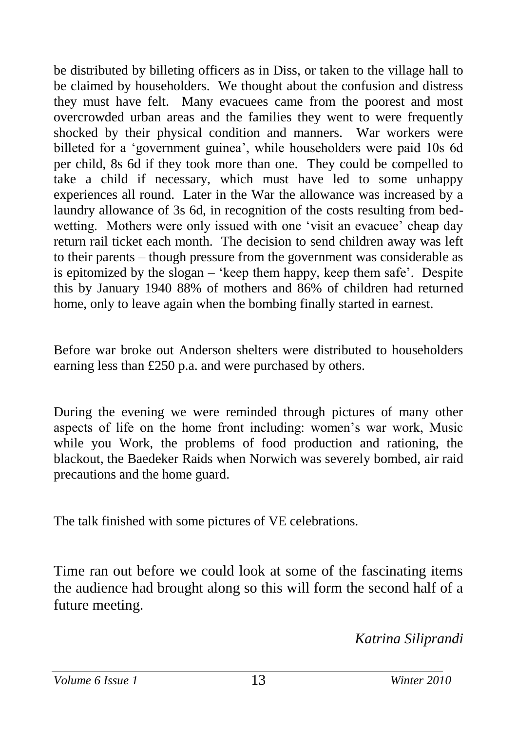be distributed by billeting officers as in Diss, or taken to the village hall to be claimed by householders. We thought about the confusion and distress they must have felt. Many evacuees came from the poorest and most overcrowded urban areas and the families they went to were frequently shocked by their physical condition and manners. War workers were billeted for a 'government guinea', while householders were paid 10s 6d per child, 8s 6d if they took more than one. They could be compelled to take a child if necessary, which must have led to some unhappy experiences all round. Later in the War the allowance was increased by a laundry allowance of 3s 6d, in recognition of the costs resulting from bedwetting. Mothers were only issued with one 'visit an evacuee' cheap day return rail ticket each month. The decision to send children away was left to their parents – though pressure from the government was considerable as is epitomized by the slogan – 'keep them happy, keep them safe'. Despite this by January 1940 88% of mothers and 86% of children had returned home, only to leave again when the bombing finally started in earnest.

Before war broke out Anderson shelters were distributed to householders earning less than £250 p.a. and were purchased by others.

During the evening we were reminded through pictures of many other aspects of life on the home front including: women's war work, Music while you Work, the problems of food production and rationing, the blackout, the Baedeker Raids when Norwich was severely bombed, air raid precautions and the home guard.

The talk finished with some pictures of VE celebrations.

Time ran out before we could look at some of the fascinating items the audience had brought along so this will form the second half of a future meeting.

*Katrina Siliprandi*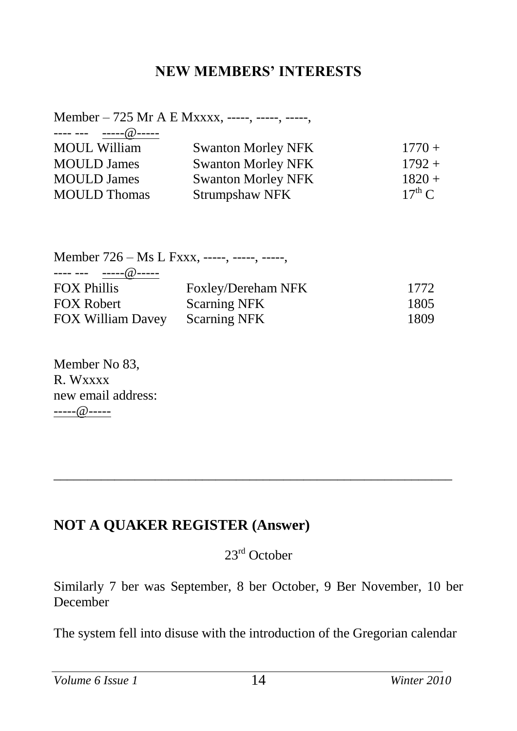#### **NEW MEMBERS' INTERESTS**

Member – 725 Mr A E Mxxxx, -----, -----, -----, ---- --- -----@----- MOUL William Swanton Morley NFK 1770 + MOULD James Swanton Morley NFK 1792 +<br>MOULD James Swanton Morley NFK 1820 + Swanton Morley NFK  $1820 +$ <br>Strumpshaw NFK  $17<sup>th</sup> C$ MOULD Thomas Strumpshaw NFK

Member 726 – Ms L Fxxx, -----, -----, -----, ---- --- -----@----- FOX Phillis Foxley/Dereham NFK 1772 FOX Robert Scarning NFK 1805 FOX William Davey Scarning NFK 1809

Member No 83, R. Wxxxx new email address: -----@-----

#### **NOT A QUAKER REGISTER (Answer)**

23rd October

\_\_\_\_\_\_\_\_\_\_\_\_\_\_\_\_\_\_\_\_\_\_\_\_\_\_\_\_\_\_\_\_\_\_\_\_\_\_\_\_\_\_\_\_\_\_\_\_\_\_\_\_\_\_\_\_\_\_\_

Similarly 7 ber was September, 8 ber October, 9 Ber November, 10 ber December

The system fell into disuse with the introduction of the Gregorian calendar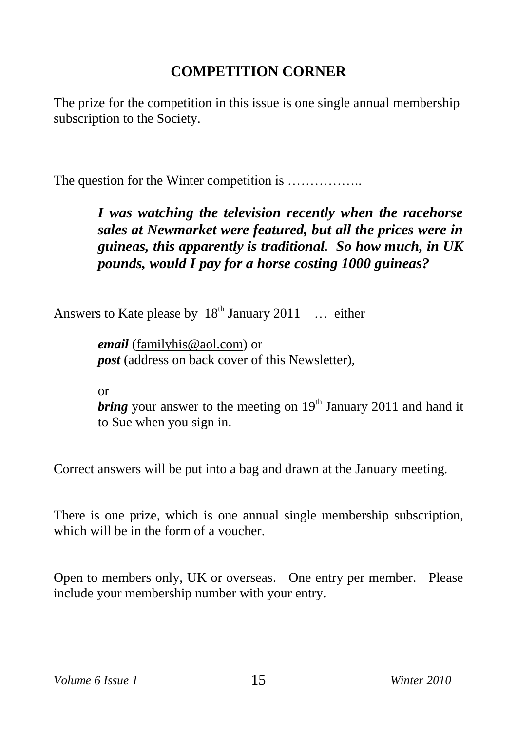#### **COMPETITION CORNER**

The prize for the competition in this issue is one single annual membership subscription to the Society.

The question for the Winter competition is ..................

#### *I was watching the television recently when the racehorse sales at Newmarket were featured, but all the prices were in guineas, this apparently is traditional. So how much, in UK pounds, would I pay for a horse costing 1000 guineas?*

Answers to Kate please by  $18<sup>th</sup>$  January 2011 ... either

*email* [\(familyhis@aol.com\)](mailto:familyhis@aol.com) or *post* (address on back cover of this Newsletter),

or

*bring* your answer to the meeting on 19<sup>th</sup> January 2011 and hand it to Sue when you sign in.

Correct answers will be put into a bag and drawn at the January meeting.

There is one prize, which is one annual single membership subscription, which will be in the form of a voucher.

Open to members only, UK or overseas. One entry per member. Please include your membership number with your entry.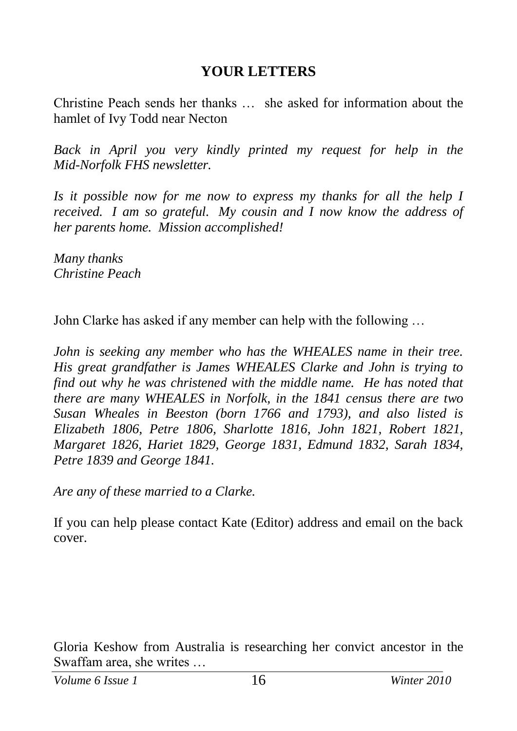#### **YOUR LETTERS**

Christine Peach sends her thanks … she asked for information about the hamlet of Ivy Todd near Necton

*Back in April you very kindly printed my request for help in the Mid-Norfolk FHS newsletter.*

*Is it possible now for me now to express my thanks for all the help I received. I am so grateful. My cousin and I now know the address of her parents home. Mission accomplished!*

*Many thanks Christine Peach*

John Clarke has asked if any member can help with the following …

*John is seeking any member who has the WHEALES name in their tree. His great grandfather is James WHEALES Clarke and John is trying to find out why he was christened with the middle name. He has noted that there are many WHEALES in Norfolk, in the 1841 census there are two Susan Wheales in Beeston (born 1766 and 1793), and also listed is Elizabeth 1806, Petre 1806, Sharlotte 1816, John 1821, Robert 1821, Margaret 1826, Hariet 1829, George 1831, Edmund 1832, Sarah 1834, Petre 1839 and George 1841.*

*Are any of these married to a Clarke.*

If you can help please contact Kate (Editor) address and email on the back cover.

Gloria Keshow from Australia is researching her convict ancestor in the Swaffam area, she writes …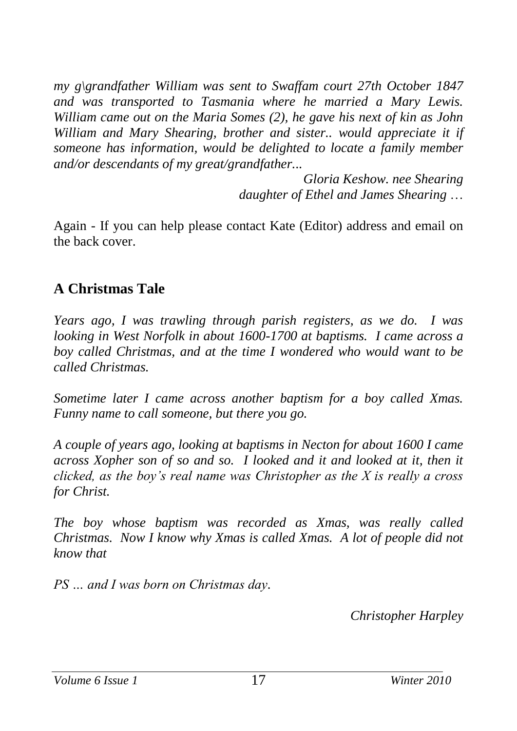*my g\grandfather William was sent to Swaffam court 27th October 1847 and was transported to Tasmania where he married a Mary Lewis. William came out on the Maria Somes (2), he gave his next of kin as John William and Mary Shearing, brother and sister.. would appreciate it if someone has information, would be delighted to locate a family member and/or descendants of my great/grandfather...*

> *Gloria Keshow. nee Shearing daughter of Ethel and James Shearing* …

Again - If you can help please contact Kate (Editor) address and email on the back cover.

#### **A Christmas Tale**

*Years ago, I was trawling through parish registers, as we do. I was looking in West Norfolk in about 1600-1700 at baptisms. I came across a boy called Christmas, and at the time I wondered who would want to be called Christmas.* 

*Sometime later I came across another baptism for a boy called Xmas. Funny name to call someone, but there you go.*

*A couple of years ago, looking at baptisms in Necton for about 1600 I came across Xopher son of so and so. I looked and it and looked at it, then it clicked, as the boy's real name was Christopher as the X is really a cross for Christ.*

*The boy whose baptism was recorded as Xmas, was really called Christmas. Now I know why Xmas is called Xmas. A lot of people did not know that*

*PS … and I was born on Christmas day.*

*Christopher Harpley*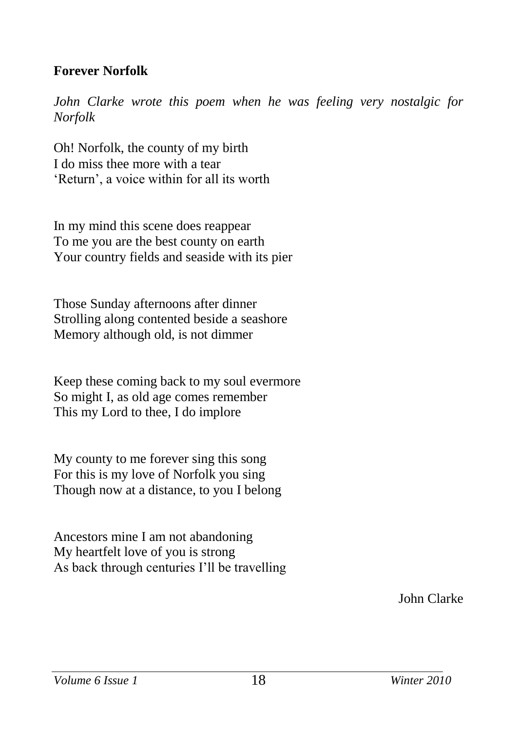#### **Forever Norfolk**

*John Clarke wrote this poem when he was feeling very nostalgic for Norfolk* 

Oh! Norfolk, the county of my birth I do miss thee more with a tear 'Return', a voice within for all its worth

In my mind this scene does reappear To me you are the best county on earth Your country fields and seaside with its pier

Those Sunday afternoons after dinner Strolling along contented beside a seashore Memory although old, is not dimmer

Keep these coming back to my soul evermore So might I, as old age comes remember This my Lord to thee, I do implore

My county to me forever sing this song For this is my love of Norfolk you sing Though now at a distance, to you I belong

Ancestors mine I am not abandoning My heartfelt love of you is strong As back through centuries I'll be travelling

John Clarke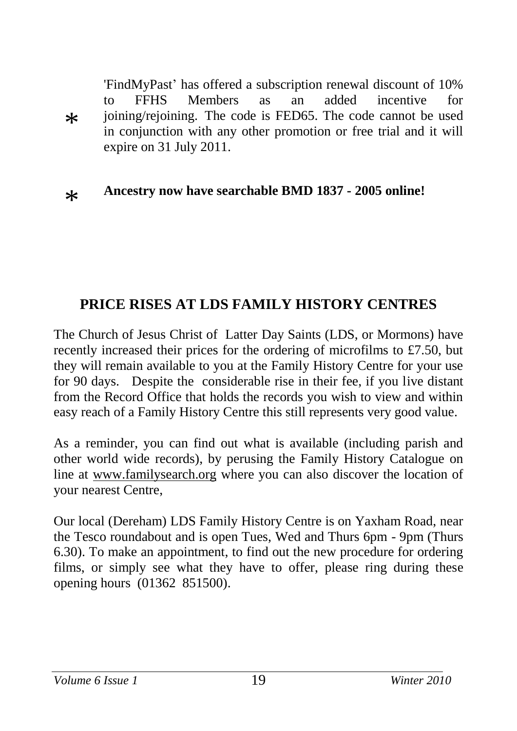$\ast$ 'FindMyPast' has offered a subscription renewal discount of 10% to FFHS Members as an added incentive for ioining/reioining. The code is FED65. The code cannot be used in conjunction with any other promotion or free trial and it will expire on 31 July 2011.

#### $\ast$ **Ancestry now have searchable BMD 1837 - 2005 online!**

### **PRICE RISES AT LDS FAMILY HISTORY CENTRES**

The Church of Jesus Christ of Latter Day Saints (LDS, or Mormons) have recently increased their prices for the ordering of microfilms to £7.50, but they will remain available to you at the Family History Centre for your use for 90 days. Despite the considerable rise in their fee, if you live distant from the Record Office that holds the records you wish to view and within easy reach of a Family History Centre this still represents very good value.

As a reminder, you can find out what is available (including parish and other world wide records), by perusing the Family History Catalogue on line at [www.familysearch.org](http://www.familysearch.org/) where you can also discover the location of your nearest Centre,

Our local (Dereham) LDS Family History Centre is on Yaxham Road, near the Tesco roundabout and is open Tues, Wed and Thurs 6pm - 9pm (Thurs 6.30). To make an appointment, to find out the new procedure for ordering films, or simply see what they have to offer, please ring during these opening hours (01362 851500).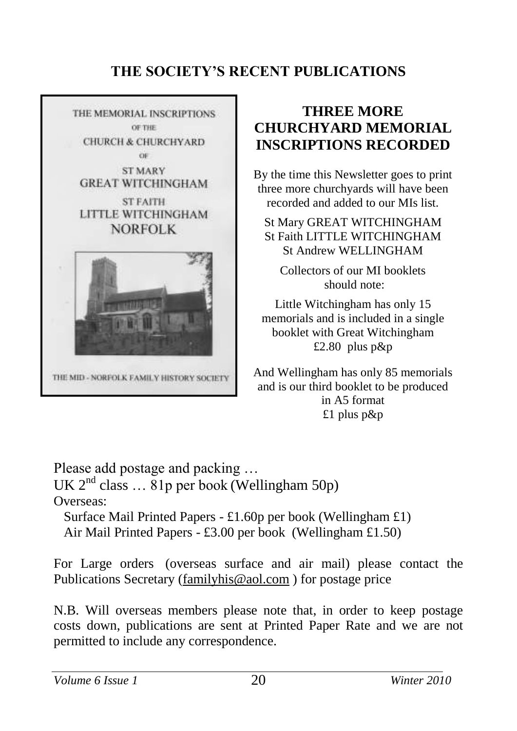#### **THE SOCIETY'S RECENT PUBLICATIONS**



#### **THREE MORE CHURCHYARD MEMORIAL INSCRIPTIONS RECORDED**

By the time this Newsletter goes to print three more churchyards will have been recorded and added to our MIs list.

St Mary GREAT WITCHINGHAM St Faith LITTLE WITCHINGHAM St Andrew WELLINGHAM

Collectors of our MI booklets should note:

Little Witchingham has only 15 memorials and is included in a single booklet with Great Witchingham £2.80 plus p&p

And Wellingham has only 85 memorials and is our third booklet to be produced in A5 format £1 plus p&p

Please add postage and packing … UK  $2^{nd}$  class  $\dots$  81p per book (Wellingham 50p) Overseas: Surface Mail Printed Papers - £1.60p per book (Wellingham £1)

Air Mail Printed Papers - £3.00 per book (Wellingham £1.50)

For Large orders (overseas surface and air mail) please contact the Publications Secretary [\(familyhis@aol.com](mailto:familyhis@aol.com) ) for postage price

N.B. Will overseas members please note that, in order to keep postage costs down, publications are sent at Printed Paper Rate and we are not permitted to include any correspondence.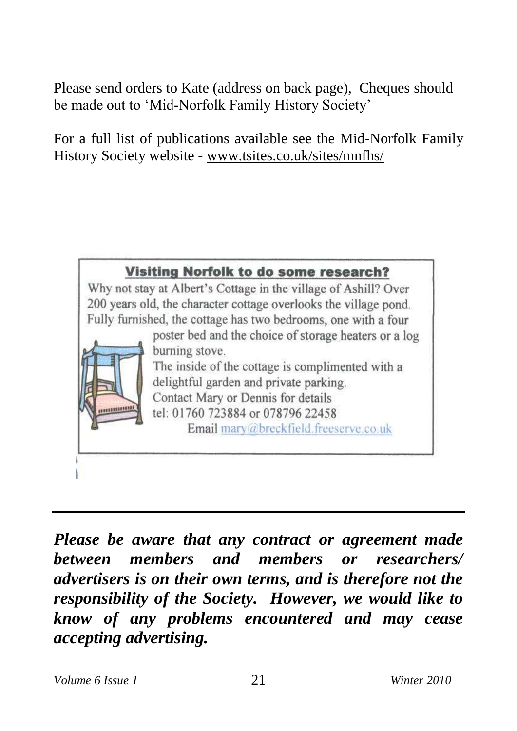Please send orders to Kate (address on back page), Cheques should be made out to 'Mid-Norfolk Family History Society'

For a full list of publications available see the Mid-Norfolk Family History Society website - [www.tsites.co.uk/sites/mnfhs/](http://www.tsites.co.uk/sites/mnfhs/)



*Please be aware that any contract or agreement made between members and members or researchers/ advertisers is on their own terms, and is therefore not the responsibility of the Society. However, we would like to know of any problems encountered and may cease accepting advertising.*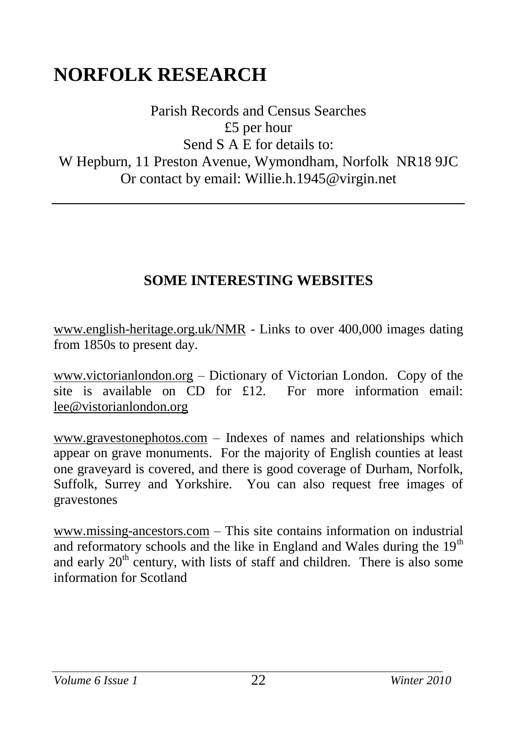### **NORFOLK RESEARCH**

Parish Records and Census Searches £5 per hour Send S A E for details to: W Hepburn, 11 Preston Avenue, Wymondham, Norfolk NR18 9JC Or contact by email: Willie.h.1945@virgin.net

#### **SOME INTERESTING WEBSITES**

[www.english-heritage.org.uk/NMR](http://www.english-heritage.org.uk/NMR) - Links to over 400,000 images dating from 1850s to present day.

[www.victorianlondon.org](http://www.victorianlondon.org/) – Dictionary of Victorian London. Copy of the site is available on CD for £12. For more information email: [lee@vistorianlondon.org](mailto:lee@vistorianlondon.org)

www.gravestonephotos.com – Indexes of names and relationships which appear on grave monuments. For the majority of English counties at least one graveyard is covered, and there is good coverage of Durham, Norfolk, Suffolk, Surrey and Yorkshire. You can also request free images of gravestones

[www.missing-ancestors.com](http://www.missing-ancestors.com/) – This site contains information on industrial and reformatory schools and the like in England and Wales during the  $19<sup>th</sup>$ and early 20<sup>th</sup> century, with lists of staff and children. There is also some information for Scotland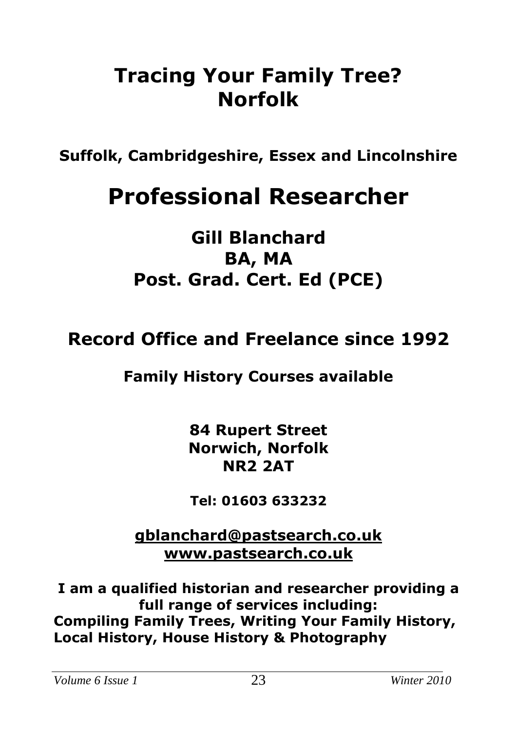### **Tracing Your Family Tree? Norfolk**

**Suffolk, Cambridgeshire, Essex and Lincolnshire**

## **Professional Researcher**

### **Gill Blanchard BA, MA Post. Grad. Cert. Ed (PCE)**

### **Record Office and Freelance since 1992**

### **Family History Courses available**

**84 Rupert Street Norwich, Norfolk NR2 2AT**

**Tel: 01603 633232**

**[gblanchard@pastsearch.co.uk](mailto:gblanchard@pastsearch.co.uk) [www.pastsearch.co.uk](http://www.pastsearch.co.uk/)**

**I am a qualified historian and researcher providing a full range of services including: Compiling Family Trees, Writing Your Family History, Local History, House History & Photography**